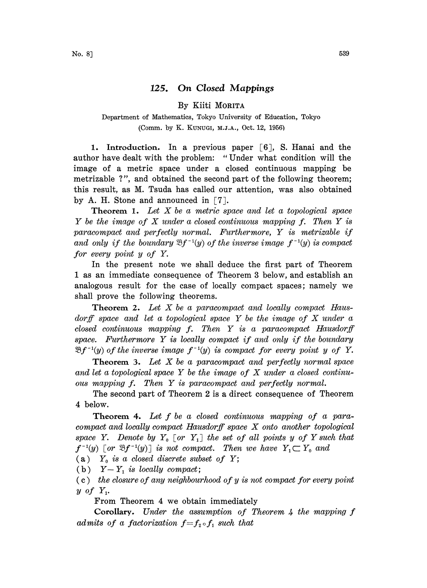## 125. On Closed Mappings

## By Kiiti MORITA

## Department of Mathematics, Tokyo University of Education, Tokyo (Comm. by K. KUNucI, M.J.A., Oct. 12, 1956)

1. Introduction. In a previous paper  $\lceil 6 \rceil$ , S. Hanai and the author have dealt with the problem: "Under what condition will the image of a metric space under a closed continuous mapping be metrizable ?", and obtained the second part of the following theorem; this result, as M. Tsuda has called our attention, was also obtained by A. H. Stone and announced in  $\lceil 7 \rceil$ .

**Theorem 1.** Let  $X$  be a metric space and let a topological space Y be the image of X under <sup>a</sup> closed continuous mapping f. Then Y is paracompact and perfectly normal. Furthermore, Y is metrizable if and only if the boundary  $\mathfrak{B}f^{-1}(y)$  of the inverse image  $f^{-1}(y)$  is compact for every point y of Y.

In the present note we shall deduce the first part of Theorem I as an immediate consequence of Theorem 3 below, and establish an analogous result for the case of locally compact spaces; namely we shall prove the following theorems.

Theorem 2. Let X be a paracompact and locally compact Hausdorff space and let a topological space  $Y$  be the image of  $X$  under a  $closed$  continuous mapping  $f$ . Then  $Y$  is a paracompact Hausdorff space. Furthermore Y is locally compact if and only if the boundary  $\mathfrak{B} f^{-1}(y)$  of the inverse image  $f^{-1}(y)$  is compact for every point y of Y.

**Theorem 3.** Let  $X$  be a paracompact and perfectly normal space and let a topological space  $Y$  be the image of  $X$  under a closed continuous mapping f. Then Y is paracompact and perfectly normal.

The second part of Theorem 2 is a direct consequence of Theorem 4 below.

**Theorem 4.** Let  $f$  be a closed continuous mapping of a paracompact and locally compact Hausdorff space X onto another topological space Y. Denote by  $Y_0$  [or  $Y_1$ ] the set of all points y of Y such that  $f^{-1}(y)$  [or  $\mathfrak{B}f^{-1}(y)$ ] is not compact. Then we have  $Y, \subset Y_0$  and

(a)  $Y_0$  is a closed discrete subset of Y;

(b)  $Y-Y_1$  is locally compact;

 $(c)$  the closure of any neighbourhood of y is not compact for every point  $y$  of  $Y_1$ .

From Theorem 4 we obtain immediately

Corollary. Under the assumption of Theorem 4 the mapping f admits of a factorization  $f=f_2 \circ f_1$  such that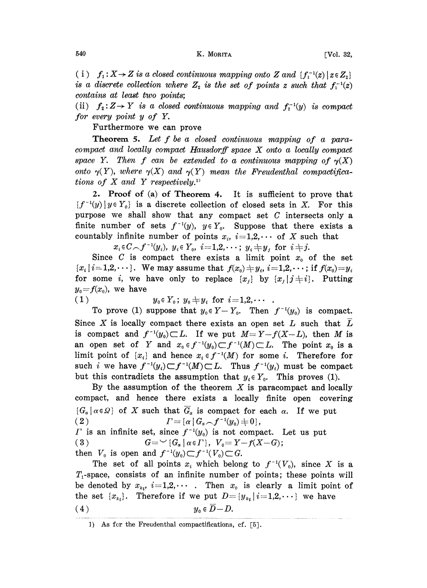(i)  $f_1: X \rightarrow Z$  is a closed continuous mapping onto Z and  $\{f_1^{-1}(z) \mid z \in Z_2\}$ is a discrete collection where  $Z_2$  is the set of points z such that  $f_1^{-1}(z)$ contains at least two points;

(ii)  $f_2: Z \to Y$  is a closed continuous mapping and  $f_2^{-1}(y)$  is compact for every point y of Y.

Furthermore we can prove

Theorem 5. Let f be a closed continuous mapping of a paracompact and locally compact Hausdorff space X onto <sup>a</sup> locally compact space Y. Then f can be extended to a continuous mapping of  $\gamma(X)$ onto  $\gamma(Y)$ , where  $\gamma(X)$  and  $\gamma(Y)$  mean the Freudenthal compactifications of  $X$  and  $Y$  respectively.<sup>11</sup>

2. Proof of (a) of Theorem 4. It is sufficient to prove that  ${f^{-1}(y) \mid y \in Y_0}$  is a discrete collection of closed sets in X. For this purpose we shall show that any compact set  $C$  intersects only a finite number of sets  $f^{-1}(y)$ ,  $y \in Y_0$ . Suppose that there exists a countably infinite number of points  $x_i$ ,  $i=1,2,\cdots$  of X such that

 $x_i \in C \setminus f^{-1}(y_i)$ ,  $y_i \in Y_0$ ,  $i=1,2,\cdots$ ;  $y_i \neq y_j$  for  $i \neq j$ .

Since C is compact there exists a limit point  $x<sub>0</sub>$  of the set  ${x_i | i=1,2,\dots}$ . We may assume that  $f(x_0) \neq y_i$ ,  $i=1,2,\dots$ ; if  $f(x_0)=y_i$ for some i, we have only to replace  $\{x_j\}$  by  $\{x_j | j \neq i\}$ . Putting  $y_0 = f(x_0)$ , we have

$$
(1) \t y_0 \in Y_0; y_0 \neq y_i \text{ for } i=1,2,\cdots.
$$

To prove (1) suppose that  $y_0 \in Y - Y_0$ . Then  $f^{-1}(y_0)$  is compact. Since X is locally compact there exists an open set  $L$  such that  $L$ is compact and  $f^{-1}(y_0) \subset L$ . If we put  $M = Y - f(X - L)$ , then M is an open set of Y and  $x_0 \in f^{-1}(y_0) \subset f^{-1}(M) \subset L$ . The point  $x_0$  is a limit point of  $\{x_i\}$  and hence  $x_i \in f^{-1}(M)$  for some i. Therefore for such i we have  $f^{-1}(y_i) \subset f^{-1}(M) \subset L$ . Thus  $f^{-1}(y_i)$  must be compact but this contradicts the assumption that  $y_i \in Y_0$ . This proves (1).

By the assumption of the theorem  $X$  is paracompact and locally compact, and hence there exists a locally finite open covering  $\{G_{\alpha} | \alpha \in \Omega\}$  of X such that  $\overline{G}_{\alpha}$  is compact for each  $\alpha$ . If we put ( 2 )  $\qquad \qquad \Gamma = \{ \alpha \, | \, G_{\alpha} \frown^{-1}(y_0) \neq 0 \},$  $\Gamma$  is an infinite set, since  $f^{-1}(y_0)$  is not compact. Let us put  $(3)$  $G = \vee G_{\alpha} | \alpha \in \Gamma$ ,  $V_0 = Y - f(X - G)$ ;

then  $V_0$  is open and  $f^{-1}(y_0) \subset f^{-1}(V_0) \subset G$ .

The set of all points  $x_i$  which belong to  $f^{-1}(V_0)$ , since X is a  $T_1$ -space, consists of an infinite number of points; these points will be denoted by  $x_{k_l}$ ,  $i=1,2,\cdots$ . Then  $x_0$  is clearly a limit point of the set  $\{x_{k_i}\}\$ . Therefore if we put  $D=[y_{k_i} \mid i=1,2,\cdots]$  we have (4)  $y_0 \in \overline{D} - D$ .

<sup>1)</sup> As for the Freudenthal compactifications, cf.  $[5]$ .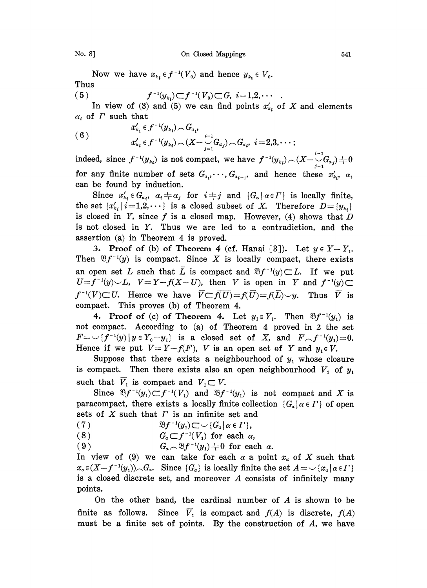Now we have  $x_{k_i} \in f^{-1}(V_0)$  and hence  $y_{k_i} \in V_0$ . Thus

(5) 
$$
f^{-1}(y_{k_i}) \subset f^{-1}(V_0) \subset G, \quad i=1,2,\cdots
$$

In view of (3) and (5) we can find points  $x'_{k_i}$  of X and elements  $\alpha_i$  of  $\Gamma$  such that

(6) 
$$
x'_{k_1} \in f^{-1}(y_{k_1}) \cap G_{a_1},
$$

$$
x'_{k_1} \in f^{-1}(y_{k_1}) \cap (X - \bigcup_{j=1}^{i-1} G_{a_j}) \cap G_{a_i}, i=2,3,\cdots;
$$

indeed, since  $f^{-1}(y_{k_i})$  is not compact, we have  $f^{-1}(y_{k_i}) \frown (X - \bigcup_{j=1}^{i-1} G_{a_j}) = 0$ for any finite number of sets  $G_{a_1}, \dots, G_{a_{i-1}}$ , and hence these  $x'_{k_1}, x_k$ can be found by induction.

Since  $x'_{k_i} \in G_{\alpha_i}$ ,  $\alpha_i \neq \alpha_j$  for  $i \neq j$  and  $\{G_{\alpha} \mid \alpha \in \Gamma\}$  is locally finite, the set  $\{x'_{k_i}\mid i=1,2,\cdots\}$  is a closed subset of X. Therefore  $D=\{y_{k_i}\}$ is closed in Y, since f is a closed map. However,  $(4)$  shows that D is not closed in Y. Thus we are led to a contradiction, and the assertion (a) in Theorem 4 is proved.

3. Proof of (b) of Theorem 4 (cf. Hanai [3]). Let  $y \in Y-Y_1$ . Then  $\mathfrak{B}f^{-1}(y)$  is compact. Since X is locally compact, there exists an open set L such that  $\overline{L}$  is compact and  $\mathfrak{B}f^{-1}(y)\subset L$ . If we put  $U=f^{-1}(y)\cup L$ ,  $V=Y-f(X-U)$ , then V is open in Y and  $f^{-1}(y)\subset$  $f^{-1}(V) \subset U$ . Hence we have  $\overline{V} \subset \overline{f(U)} = f(\overline{U}) = f(\overline{L}) \cup y$ . Thus  $\overline{V}$  is compact. This proves (b) of Theorem 4.

4. Proof of (c) of Theorem 4. Let  $y_1 \in Y_1$ . Then  $\mathfrak{B}f^{-1}(y_1)$  is not compact. According to (a) of Theorem 4 proved in 2 the set  $F=\bigcup_{i=1}^{r-1} (y) | y \in Y_0 - y_1$  is a closed set of X, and  $F-f^{-1}(y_1)=0$ . Hence if we put  $V = Y - f(F)$ , V is an open set of Y and  $y_1 \in V$ .

Suppose that there exists a neighbourhood of  $y_1$  whose closure is compact. Then there exists also an open neighbourhood  $V_1$  of  $y_1$ such that  $\overline{V}_1$  is compact and  $V_1 \subset V$ .

Since  $\mathfrak{B}f^{-1}(y_1)\subset f^{-1}(V_1)$  and  $\mathfrak{B}f^{-1}(y_1)$  is not compact and X is paracompact, there exists a locally finite collection  $\{G_{\alpha} | \alpha \in \Gamma\}$  of open sets of  $\overline{X}$  such that  $\overline{\Gamma}$  is an infinite set and

(7) 
$$
\mathfrak{B}f^{-1}(y_1) \subset \bigcup \{G_\alpha \mid \alpha \in \Gamma\},
$$

 $\overline{G}_\alpha$  (8)  $G_\alpha$ 

(8)  $G_a \subset f^{-1}(V_1)$  for each  $\alpha$ ,<br>(9)  $G_a \sim \mathfrak{B} f^{-1}(y_1) \neq 0$  for each  $\alpha$ .

In view of (9) we can take for each  $\alpha$  a point  $x_{\alpha}$  of X such that  $x_{\alpha} \in (X-f^{-1}(y_1))_{\text{c}} G_{\alpha}$ . Since  $\{G_{\alpha}\}\$ is locally finite the set  $A = \cup \{x_{\alpha} | \alpha \in \Gamma\}$ is <sup>a</sup> closed discrete set, and moreover A consists of infinitely many points.

On the other hand, the cardinal number of A is shown to be finite as follows. Since  $\overline{V}_1$  is compact and  $f(A)$  is discrete,  $f(A)$ must be a finite set of points. By the construction of A, we have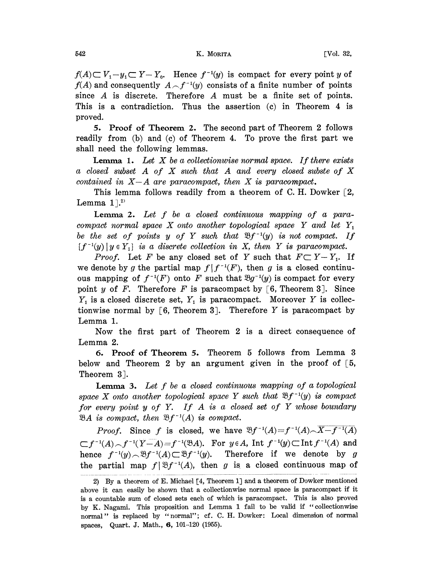$f(A) \subset V_1 - y_1 \subset Y - Y_0$ . Hence  $f^{-1}(y)$  is compact for every point y of  $f(A)$  and consequently  $A \frown f^{-1}(y)$  consists of a finite number of points since A is discrete. Therefore A must be <sup>a</sup> finite set of points. This is a contradiction. Thus the assertion (c) in Theorem 4 is proved.

5. Proof of Theorem 2. The second part of Theorem 2 follows readily from (b) and (c) of Theorem 4. To prove the first part we shall need the following lemmas.

**Lemma 1.** Let  $X$  be a collectionwise normal space. If there exists  $a \; closed \; subset \; A \; of \; X \; such \; that \; A \; and \; every \; closed \; subset \; of \; X$ contained in  $X-A$  are paracompact, then X is paracompact.

This lemma follows readily from a theorem of C. H. Dowker  $[2,$ Lemma  $1$ .<sup>2)</sup>

Lemma 2. Let f be a closed continuous mapping of a paracompact normal space X onto another topological space Y and let  $Y_1$ be the set of points y of Y such that  $\mathfrak{B}f^{-1}(y)$  is not compact. If  $\{f^{-1}(y) \mid y \in Y_1\}$  is a discrete collection in X, then Y is paracompact.

*Proof.* Let F be any closed set of Y such that  $F \subset Y - Y_1$ . If we denote by g the partial map  $f | f^{-1}(F)$ , then g is a closed continuous mapping of  $f^{-1}(F)$  onto F such that  $\mathfrak{B}g^{-1}(y)$  is compact for every point y of F. Therefore F is paracompact by  $[6,$  Theorem 3]. Since  $Y_1$  is a closed discrete set,  $Y_1$  is paracompact. Moreover Y is collectionwise normal by [6, Theorem 3]. Therefore Y is paracompact by Lemma 1.

Now the first part of Theorem 2 is a direct consequence of Lemma 2.

5. Proof of Theorem 5. Theorem <sup>5</sup> follows from Lemma <sup>3</sup> below and Theorem 2 by an argument given in the proof of  $\lceil 5, r \rceil$ Theorem 3.

Lemma 3. Let f be <sup>a</sup> closed continuous mapping of <sup>a</sup> topological space X onto another topological space Y such that  $\mathfrak{B}f^{-1}(y)$  is compact for every point  $y$  of  $Y$ . If  $A$  is a closed set of  $Y$  whose boundary  $\mathfrak{B}A$  is compact, then  $\mathfrak{B}f^{-1}(A)$  is compact.

*Proof.* Since f is closed, we have  $\mathfrak{B}f^{-1}(A) = f^{-1}(A) \setminus \overline{X-f^{-1}(A)}$  $\mathbb{C} f^{-1}(A) \sim f^{-1}(Y-A) = f^{-1}(\mathfrak{B} A)$ . For  $y \in A$ , Int  $f^{-1}(y) \subset \text{Int } f^{-1}(A)$  and hence  $f^{-1}(y) \sim \mathfrak{B} f^{-1}(A) \subset \mathfrak{B} f^{-1}(y)$ . Therefore if we denote by g the partial map  $f \mathcal{B}f^{-1}(A)$ , then g is a closed continuous map of

<sup>2)</sup> By a theorem of E. Michael [4, Theorem 1] and a theorem of Dowker mentioned above it can easily be shown that a collectionwise normal space is paracompact if it is a countable sum of closed sets each of which is paracompact. This is also proved by K. Nagami. This proposition and Lemma <sup>1</sup> fail to be valid if "collectionwise normal" is replaced by "normal"; cf. C. H. Dowker: Local dimension of normal spaces, Quart. J. Math., 6, 101-120 (1955).